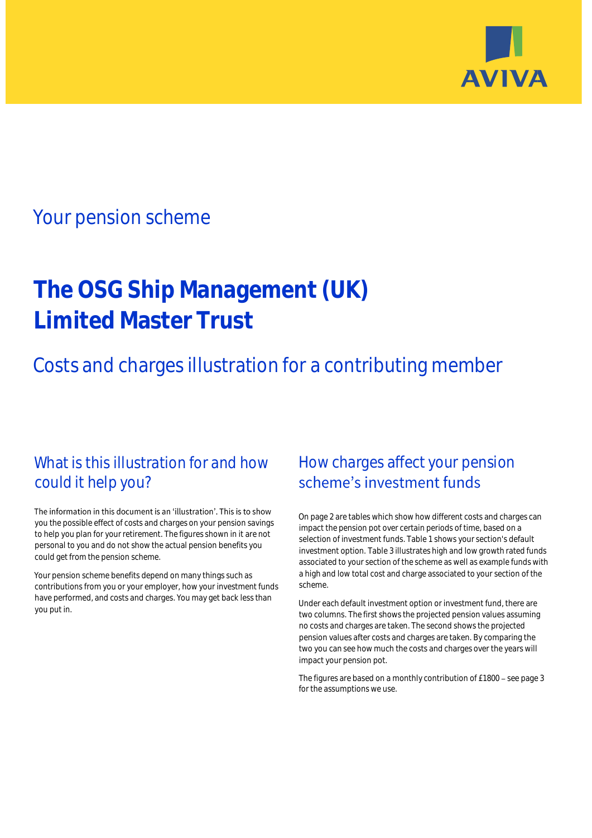

## Your pension scheme

# **The OSG Ship Management (UK) Limited Master Trust**

Costs and charges illustration for a contributing member

## What is this illustration for and how could it help you?

#### The information in this document is an 'illustration'. This is to show you the possible effect of costs and charges on your pension savings to help you plan for your retirement. The figures shown in it are not personal to you and do not show the actual pension benefits you could get from the pension scheme.

Your pension scheme benefits depend on many things such as contributions from you or your employer, how your investment funds have performed, and costs and charges. You may get back less than you put in.

## How charges affect your pension scheme's investment funds

On page 2 are tables which show how different costs and charges can impact the pension pot over certain periods of time, based on a selection of investment funds. Table 1 shows your section's default investment option. Table 3 illustrates high and low growth rated funds associated to your section of the scheme as well as example funds with a high and low total cost and charge associated to your section of the scheme.

Under each default investment option or investment fund, there are two columns. The first shows the projected pension values assuming no costs and charges are taken. The second shows the projected pension values after costs and charges are taken. By comparing the two you can see how much the costs and charges over the years will impact your pension pot.

The figures are based on a monthly contribution of £1800 - see page 3 for the assumptions we use.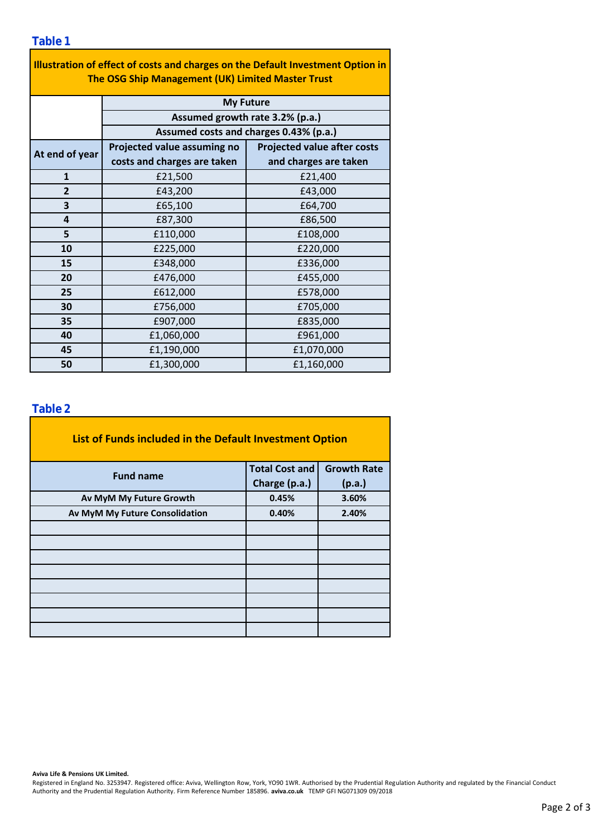| Illustration of effect of costs and charges on the Default Investment Option in<br>The OSG Ship Management (UK) Limited Master Trust |                                        |                                    |  |  |  |
|--------------------------------------------------------------------------------------------------------------------------------------|----------------------------------------|------------------------------------|--|--|--|
|                                                                                                                                      | <b>My Future</b>                       |                                    |  |  |  |
|                                                                                                                                      | Assumed growth rate 3.2% (p.a.)        |                                    |  |  |  |
|                                                                                                                                      | Assumed costs and charges 0.43% (p.a.) |                                    |  |  |  |
| At end of year                                                                                                                       | Projected value assuming no            | <b>Projected value after costs</b> |  |  |  |
|                                                                                                                                      | costs and charges are taken            | and charges are taken              |  |  |  |
| $\mathbf{1}$                                                                                                                         | £21,500                                | £21,400                            |  |  |  |
| $\overline{2}$                                                                                                                       | £43,200                                | £43,000                            |  |  |  |
| 3                                                                                                                                    | £65,100                                | £64,700                            |  |  |  |
| 4                                                                                                                                    | £87,300                                | £86,500                            |  |  |  |
| 5                                                                                                                                    | £110,000                               | £108,000                           |  |  |  |
| 10                                                                                                                                   | £225,000                               | £220,000                           |  |  |  |
| 15                                                                                                                                   | £348,000                               | £336,000                           |  |  |  |
| 20                                                                                                                                   | £476,000                               | £455,000                           |  |  |  |
| 25                                                                                                                                   | £612,000                               | £578,000                           |  |  |  |
| 30                                                                                                                                   | £756,000                               | £705,000                           |  |  |  |
| 35                                                                                                                                   | £907,000                               | £835,000                           |  |  |  |
| 40                                                                                                                                   | £1,060,000                             | £961,000                           |  |  |  |
| 45                                                                                                                                   | £1,190,000                             | £1,070,000                         |  |  |  |
| 50                                                                                                                                   | £1,300,000                             | £1,160,000                         |  |  |  |

÷,

#### **Table 2**

| List of Funds included in the Default Investment Option |                       |                    |
|---------------------------------------------------------|-----------------------|--------------------|
| <b>Fund name</b>                                        | <b>Total Cost and</b> | <b>Growth Rate</b> |
|                                                         | Charge (p.a.)         | (p.a.)             |
| Av MyM My Future Growth                                 | 0.45%                 | 3.60%              |
| Av MyM My Future Consolidation                          | 0.40%                 | 2.40%              |
|                                                         |                       |                    |
|                                                         |                       |                    |
|                                                         |                       |                    |
|                                                         |                       |                    |
|                                                         |                       |                    |
|                                                         |                       |                    |
|                                                         |                       |                    |
|                                                         |                       |                    |

**Aviva Life & Pensions UK Limited.**

Registered in England No. 3253947. Registered office: Aviva, Wellington Row, York, YO90 1WR. Authorised by the Prudential Regulation Authority and regulated by the Financial Conduct Authority and the Prudential Regulation Authority. Firm Reference Number 185896. **aviva.co.uk** TEMP GFI NG071309 09/2018